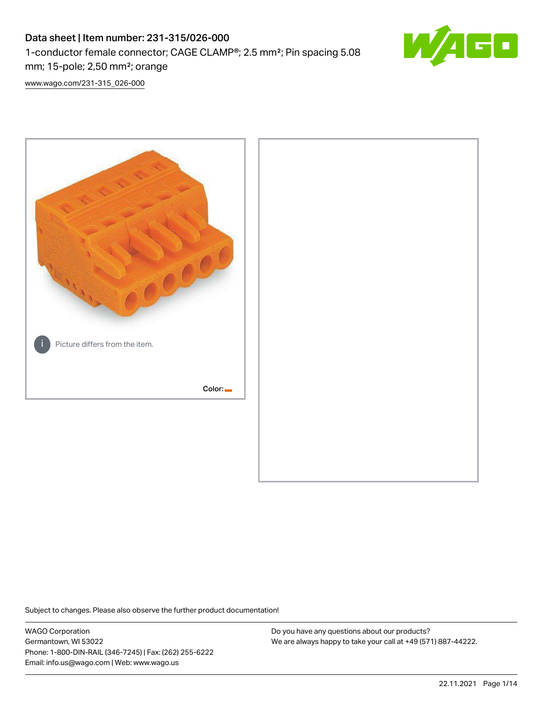# Data sheet | Item number: 231-315/026-000 1-conductor female connector; CAGE CLAMP®; 2.5 mm²; Pin spacing 5.08 mm; 15-pole; 2,50 mm²; orange



[www.wago.com/231-315\\_026-000](http://www.wago.com/231-315_026-000)



Subject to changes. Please also observe the further product documentation!

WAGO Corporation Germantown, WI 53022 Phone: 1-800-DIN-RAIL (346-7245) | Fax: (262) 255-6222 Email: info.us@wago.com | Web: www.wago.us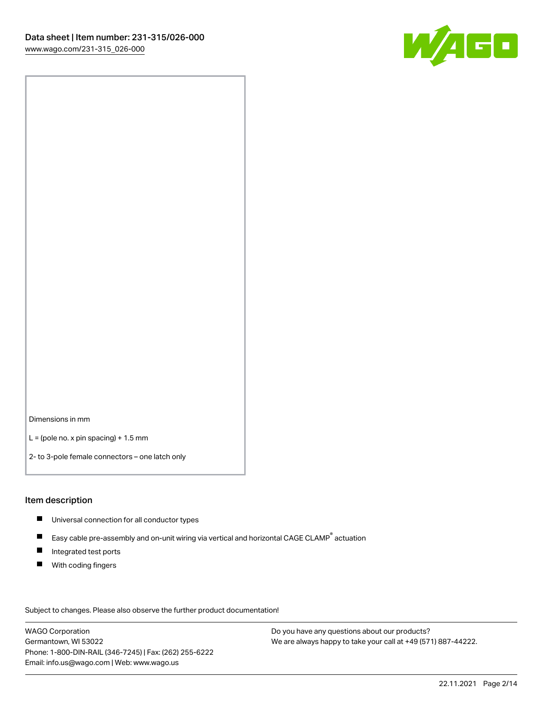

Dimensions in mm

 $L =$  (pole no. x pin spacing) + 1.5 mm

2- to 3-pole female connectors – one latch only

#### Item description

- **Universal connection for all conductor types**
- Easy cable pre-assembly and on-unit wiring via vertical and horizontal CAGE CLAMP<sup>®</sup> actuation  $\blacksquare$
- $\blacksquare$ Integrated test ports
- $\blacksquare$ With coding fingers

Subject to changes. Please also observe the further product documentation! Data

WAGO Corporation Germantown, WI 53022 Phone: 1-800-DIN-RAIL (346-7245) | Fax: (262) 255-6222 Email: info.us@wago.com | Web: www.wago.us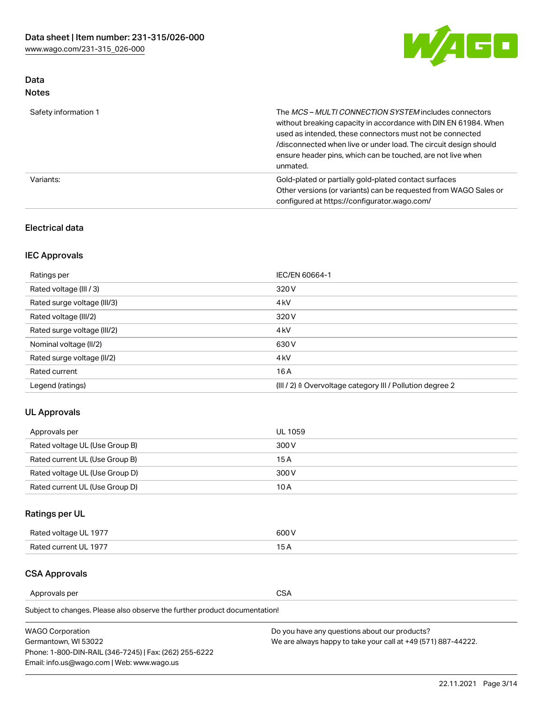

# Data Notes

| Safety information 1 | The MCS-MULTI CONNECTION SYSTEM includes connectors<br>without breaking capacity in accordance with DIN EN 61984. When<br>used as intended, these connectors must not be connected<br>/disconnected when live or under load. The circuit design should<br>ensure header pins, which can be touched, are not live when<br>unmated. |
|----------------------|-----------------------------------------------------------------------------------------------------------------------------------------------------------------------------------------------------------------------------------------------------------------------------------------------------------------------------------|
| Variants:            | Gold-plated or partially gold-plated contact surfaces<br>Other versions (or variants) can be requested from WAGO Sales or<br>configured at https://configurator.wago.com/                                                                                                                                                         |

# Electrical data

# IEC Approvals

| Ratings per                 | IEC/EN 60664-1                                                        |
|-----------------------------|-----------------------------------------------------------------------|
| Rated voltage (III / 3)     | 320 V                                                                 |
| Rated surge voltage (III/3) | 4 <sub>k</sub> V                                                      |
| Rated voltage (III/2)       | 320 V                                                                 |
| Rated surge voltage (III/2) | 4 <sub>k</sub> V                                                      |
| Nominal voltage (II/2)      | 630 V                                                                 |
| Rated surge voltage (II/2)  | 4 <sub>k</sub> V                                                      |
| Rated current               | 16 A                                                                  |
| Legend (ratings)            | $(III / 2)$ $\triangle$ Overvoltage category III / Pollution degree 2 |

# UL Approvals

| Approvals per                  | UL 1059 |
|--------------------------------|---------|
| Rated voltage UL (Use Group B) | 300 V   |
| Rated current UL (Use Group B) | 15 A    |
| Rated voltage UL (Use Group D) | 300 V   |
| Rated current UL (Use Group D) | 10 A    |

# Ratings per UL

| Rated voltage UL 1977 | 600 V         |
|-----------------------|---------------|
| Rated current UL 1977 | $\sim$ $\sim$ |

### CSA Approvals

Approvals per CSA

Subject to changes. Please also observe the further product documentation!

| <b>WAGO Corporation</b>                                | Do you have any questions about our products?                 |
|--------------------------------------------------------|---------------------------------------------------------------|
| Germantown, WI 53022                                   | We are always happy to take your call at +49 (571) 887-44222. |
| Phone: 1-800-DIN-RAIL (346-7245)   Fax: (262) 255-6222 |                                                               |
| Email: info.us@wago.com   Web: www.wago.us             |                                                               |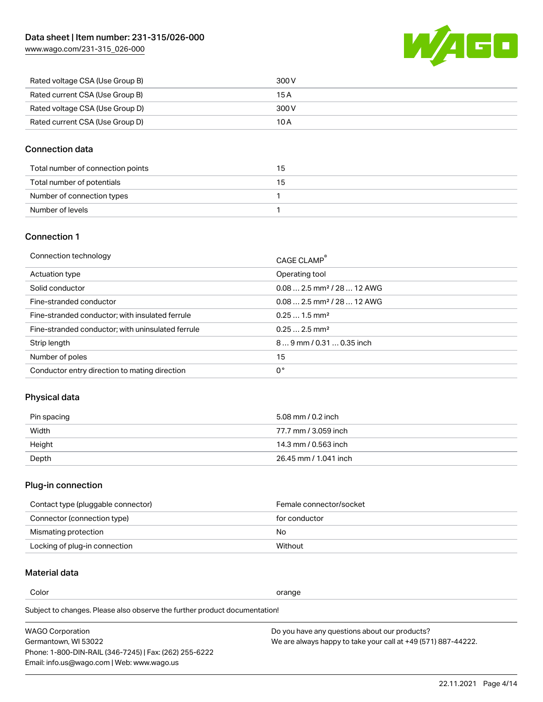[www.wago.com/231-315\\_026-000](http://www.wago.com/231-315_026-000)



| Rated voltage CSA (Use Group B) | 300 V |
|---------------------------------|-------|
| Rated current CSA (Use Group B) | 15 A  |
| Rated voltage CSA (Use Group D) | 300 V |
| Rated current CSA (Use Group D) | 10 A  |

### Connection data

| Total number of connection points | 15 |
|-----------------------------------|----|
| Total number of potentials        | 15 |
| Number of connection types        |    |
| Number of levels                  |    |

### Connection 1

| Connection technology                             | CAGE CLAMP <sup>®</sup>                |
|---------------------------------------------------|----------------------------------------|
| Actuation type                                    | Operating tool                         |
| Solid conductor                                   | $0.082.5$ mm <sup>2</sup> / 28  12 AWG |
| Fine-stranded conductor                           | $0.082.5$ mm <sup>2</sup> / 28  12 AWG |
| Fine-stranded conductor; with insulated ferrule   | $0.251.5$ mm <sup>2</sup>              |
| Fine-stranded conductor; with uninsulated ferrule | $0.252.5$ mm <sup>2</sup>              |
| Strip length                                      | 89 mm / 0.31  0.35 inch                |
| Number of poles                                   | 15                                     |
| Conductor entry direction to mating direction     | 0°                                     |
|                                                   |                                        |

# Physical data

| Pin spacing | 5.08 mm / 0.2 inch    |
|-------------|-----------------------|
| Width       | 77.7 mm / 3.059 inch  |
| Height      | 14.3 mm / 0.563 inch  |
| Depth       | 26.45 mm / 1.041 inch |

# Plug-in connection

| Contact type (pluggable connector) | Female connector/socket |
|------------------------------------|-------------------------|
| Connector (connection type)        | for conductor           |
| Mismating protection               | No                      |
| Locking of plug-in connection      | Without                 |

# Material data

Color contracts and contracts of the contracts of the contracts of the contracts of the contracts of the contracts of the contracts of the contracts of the contracts of the contracts of the contracts of the contracts of th

Subject to changes. Please also observe the further product documentation! Material group I

| <b>WAGO Corporation</b>                                | Do you have any questions about our products?                 |
|--------------------------------------------------------|---------------------------------------------------------------|
| Germantown, WI 53022                                   | We are always happy to take your call at +49 (571) 887-44222. |
| Phone: 1-800-DIN-RAIL (346-7245)   Fax: (262) 255-6222 |                                                               |
| Email: info.us@wago.com   Web: www.wago.us             |                                                               |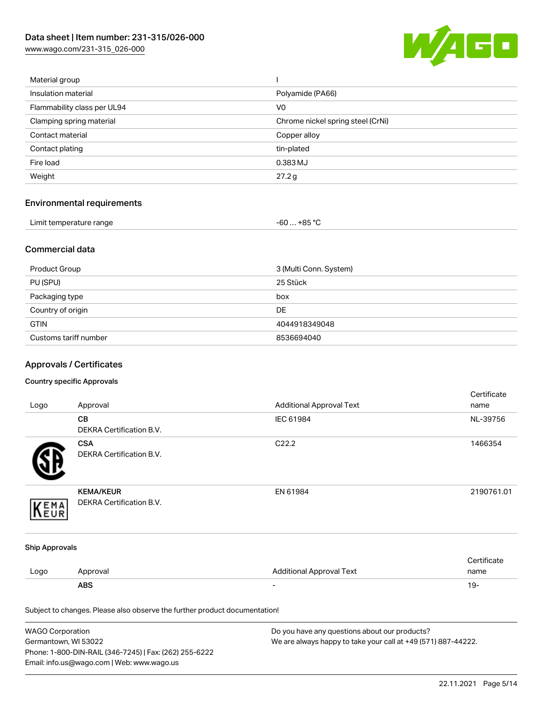[www.wago.com/231-315\\_026-000](http://www.wago.com/231-315_026-000)



| Material group              |                                   |
|-----------------------------|-----------------------------------|
| Insulation material         | Polyamide (PA66)                  |
| Flammability class per UL94 | V <sub>0</sub>                    |
| Clamping spring material    | Chrome nickel spring steel (CrNi) |
| Contact material            | Copper alloy                      |
| Contact plating             | tin-plated                        |
| Fire load                   | 0.383 MJ                          |
| Weight                      | 27.2 g                            |
|                             |                                   |

# Environmental requirements

| Limit temperature range<br>. | . +85 °Ր<br>-60 |  |
|------------------------------|-----------------|--|
|------------------------------|-----------------|--|

## Commercial data

| Product Group         | 3 (Multi Conn. System) |
|-----------------------|------------------------|
| PU (SPU)              | 25 Stück               |
| Packaging type        | box                    |
| Country of origin     | <b>DE</b>              |
| <b>GTIN</b>           | 4044918349048          |
| Customs tariff number | 8536694040             |

# Approvals / Certificates

#### Country specific Approvals

| Logo                  | Approval                                                                   | <b>Additional Approval Text</b> | Certificate<br>name |
|-----------------------|----------------------------------------------------------------------------|---------------------------------|---------------------|
|                       | CВ<br>DEKRA Certification B.V.                                             | IEC 61984                       | NL-39756            |
|                       | <b>CSA</b><br><b>DEKRA Certification B.V.</b>                              | C22.2                           | 1466354             |
| EMA                   | <b>KEMA/KEUR</b><br>DEKRA Certification B.V.                               | EN 61984                        | 2190761.01          |
| <b>Ship Approvals</b> |                                                                            |                                 |                     |
| Logo                  | Approval                                                                   | <b>Additional Approval Text</b> | Certificate<br>name |
|                       | <b>ABS</b>                                                                 |                                 | $19 -$              |
|                       | Subject to changes. Please also observe the further product documentation! |                                 |                     |

| WAGO Corporation                                       | Do you have any questions about our products?                 |
|--------------------------------------------------------|---------------------------------------------------------------|
| Germantown, WI 53022                                   | We are always happy to take your call at +49 (571) 887-44222. |
| Phone: 1-800-DIN-RAIL (346-7245)   Fax: (262) 255-6222 |                                                               |
| Email: info.us@wago.com   Web: www.wago.us             |                                                               |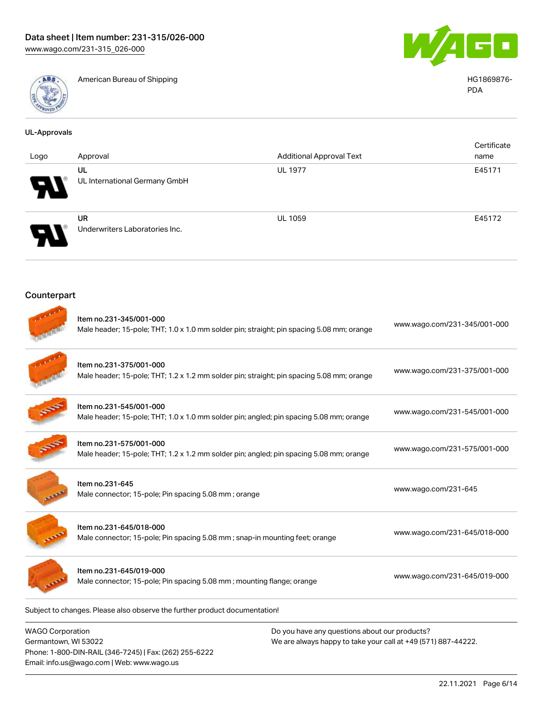Email: info.us@wago.com | Web: www.wago.us



American Bureau of Shipping **HG1869876-**



PDA

| <b>UL-Approvals</b>                             |                                                                                                                      |                                                                                                                |                              |
|-------------------------------------------------|----------------------------------------------------------------------------------------------------------------------|----------------------------------------------------------------------------------------------------------------|------------------------------|
| Logo                                            | Approval                                                                                                             | <b>Additional Approval Text</b>                                                                                | Certificate<br>name          |
|                                                 | UL<br>UL International Germany GmbH                                                                                  | <b>UL 1977</b>                                                                                                 | E45171                       |
|                                                 | <b>UR</b><br>Underwriters Laboratories Inc.                                                                          | <b>UL 1059</b>                                                                                                 | E45172                       |
| Counterpart                                     |                                                                                                                      |                                                                                                                |                              |
|                                                 | Item no.231-345/001-000<br>Male header; 15-pole; THT; 1.0 x 1.0 mm solder pin; straight; pin spacing 5.08 mm; orange |                                                                                                                | www.wago.com/231-345/001-000 |
|                                                 | Item no.231-375/001-000<br>Male header; 15-pole; THT; 1.2 x 1.2 mm solder pin; straight; pin spacing 5.08 mm; orange |                                                                                                                | www.wago.com/231-375/001-000 |
|                                                 | Item no.231-545/001-000<br>Male header; 15-pole; THT; 1.0 x 1.0 mm solder pin; angled; pin spacing 5.08 mm; orange   |                                                                                                                | www.wago.com/231-545/001-000 |
|                                                 | Item no.231-575/001-000<br>Male header; 15-pole; THT; 1.2 x 1.2 mm solder pin; angled; pin spacing 5.08 mm; orange   |                                                                                                                | www.wago.com/231-575/001-000 |
|                                                 | Item no.231-645<br>Male connector; 15-pole; Pin spacing 5.08 mm; orange                                              |                                                                                                                | www.wago.com/231-645         |
|                                                 | Item no.231-645/018-000<br>Male connector; 15-pole; Pin spacing 5.08 mm; snap-in mounting feet; orange               |                                                                                                                | www.wago.com/231-645/018-000 |
|                                                 | Item no.231-645/019-000<br>Male connector; 15-pole; Pin spacing 5.08 mm; mounting flange; orange                     |                                                                                                                | www.wago.com/231-645/019-000 |
|                                                 | Subject to changes. Please also observe the further product documentation!                                           |                                                                                                                |                              |
| <b>WAGO Corporation</b><br>Germantown, WI 53022 | Phone: 1-800-DIN-RAIL (346-7245)   Fax: (262) 255-6222                                                               | Do you have any questions about our products?<br>We are always happy to take your call at +49 (571) 887-44222. |                              |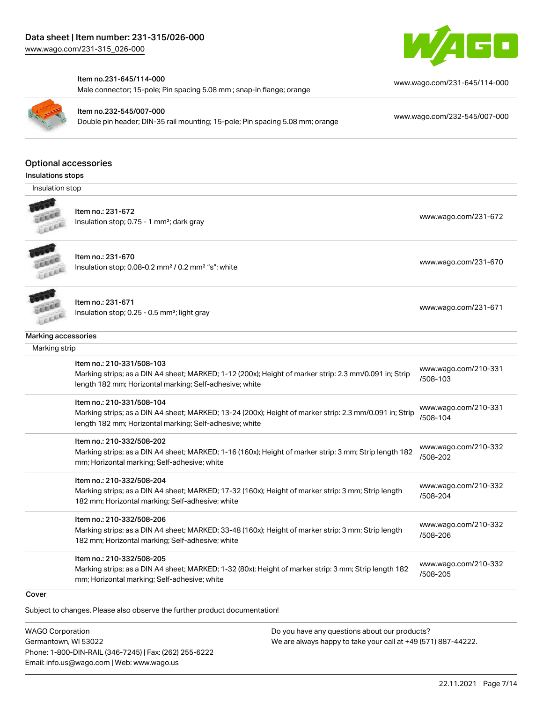

#### Item no.231-645/114-000

Male connector; 15-pole; Pin spacing 5.08 mm ; snap-in flange; orange



Item no.232-545/007-000

Double pin header; DIN-35 rail mounting; 15-pole; Pin spacing 5.08 mm; orange [www.wago.com/232-545/007-000](https://www.wago.com/232-545/007-000)

[www.wago.com/231-645/114-000](https://www.wago.com/231-645/114-000)

#### Optional accessories

Insulations stops

Insulation stop



Item no.: 231-672

Insulation stop; 0.75 - 1 mm<sup>2</sup>; dark gray [www.wago.com/231-672](http://www.wago.com/231-672)<br>Insulation stop; 0.75 - 1 mm<sup>2</sup>; dark gray



Item no.: 231-670 Insulation stop; 0.08-0.2 mm<sup>2</sup> / 0.2 mm<sup>2</sup> "s"; white [www.wago.com/231-670](http://www.wago.com/231-670) www.wago.com/231-670

Item no.: 231-671 Insulation stop; 0.25 - 0.5 mm²; light gray [www.wago.com/231-671](http://www.wago.com/231-671) www.wago.com/231-671

# LEEEE Marking accessories

| Marking accessories |                                                                                                                                                                                                 |                                  |
|---------------------|-------------------------------------------------------------------------------------------------------------------------------------------------------------------------------------------------|----------------------------------|
| Marking strip       |                                                                                                                                                                                                 |                                  |
|                     | Item no.: 210-331/508-103<br>Marking strips; as a DIN A4 sheet; MARKED; 1-12 (200x); Height of marker strip: 2.3 mm/0.091 in; Strip<br>length 182 mm; Horizontal marking; Self-adhesive; white  | www.wago.com/210-331<br>/508-103 |
|                     | Item no.: 210-331/508-104<br>Marking strips; as a DIN A4 sheet; MARKED; 13-24 (200x); Height of marker strip: 2.3 mm/0.091 in; Strip<br>length 182 mm; Horizontal marking; Self-adhesive; white | www.wago.com/210-331<br>/508-104 |
|                     | Item no.: 210-332/508-202<br>Marking strips; as a DIN A4 sheet; MARKED; 1-16 (160x); Height of marker strip: 3 mm; Strip length 182<br>mm; Horizontal marking; Self-adhesive; white             | www.wago.com/210-332<br>/508-202 |
|                     | Item no.: 210-332/508-204<br>Marking strips; as a DIN A4 sheet; MARKED; 17-32 (160x); Height of marker strip: 3 mm; Strip length<br>182 mm; Horizontal marking; Self-adhesive; white            | www.wago.com/210-332<br>/508-204 |
|                     | Item no.: 210-332/508-206<br>Marking strips; as a DIN A4 sheet; MARKED; 33-48 (160x); Height of marker strip: 3 mm; Strip length<br>182 mm; Horizontal marking; Self-adhesive; white            | www.wago.com/210-332<br>/508-206 |
|                     | Item no.: 210-332/508-205<br>Marking strips; as a DIN A4 sheet; MARKED; 1-32 (80x); Height of marker strip: 3 mm; Strip length 182<br>mm; Horizontal marking; Self-adhesive; white              | www.wago.com/210-332<br>/508-205 |

#### **Cover**

Subject to changes. Please also observe the further product documentation!

WAGO Corporation Germantown, WI 53022 Phone: 1-800-DIN-RAIL (346-7245) | Fax: (262) 255-6222 Email: info.us@wago.com | Web: www.wago.us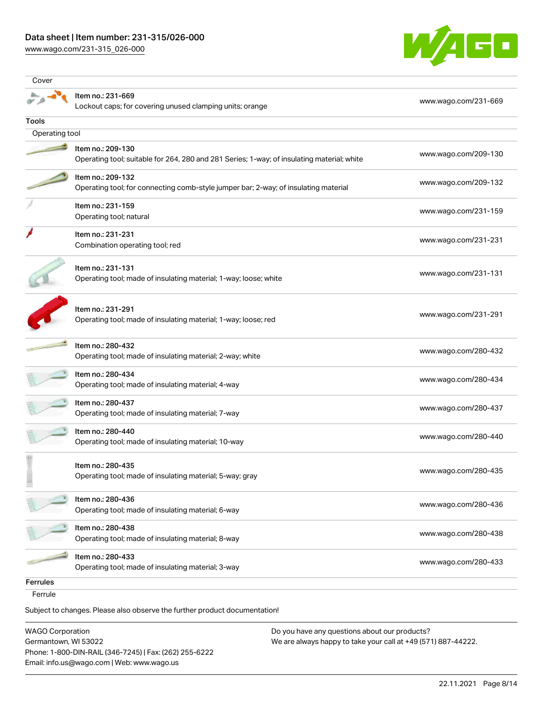## Data sheet | Item number: 231-315/026-000

[www.wago.com/231-315\\_026-000](http://www.wago.com/231-315_026-000)



| Cover           |                                                                                                                 |                      |
|-----------------|-----------------------------------------------------------------------------------------------------------------|----------------------|
|                 | Item no.: 231-669<br>Lockout caps; for covering unused clamping units; orange                                   | www.wago.com/231-669 |
| <b>Tools</b>    |                                                                                                                 |                      |
| Operating tool  |                                                                                                                 |                      |
|                 | Item no.: 209-130<br>Operating tool; suitable for 264, 280 and 281 Series; 1-way; of insulating material; white | www.wago.com/209-130 |
|                 | Item no.: 209-132<br>Operating tool; for connecting comb-style jumper bar; 2-way; of insulating material        | www.wago.com/209-132 |
|                 | Item no.: 231-159<br>Operating tool; natural                                                                    | www.wago.com/231-159 |
|                 | Item no.: 231-231<br>Combination operating tool; red                                                            | www.wago.com/231-231 |
|                 | Item no.: 231-131<br>Operating tool; made of insulating material; 1-way; loose; white                           | www.wago.com/231-131 |
|                 | Item no.: 231-291<br>Operating tool; made of insulating material; 1-way; loose; red                             | www.wago.com/231-291 |
|                 | Item no.: 280-432<br>Operating tool; made of insulating material; 2-way; white                                  | www.wago.com/280-432 |
|                 | Item no.: 280-434<br>Operating tool; made of insulating material; 4-way                                         | www.wago.com/280-434 |
|                 | Item no.: 280-437<br>Operating tool; made of insulating material; 7-way                                         | www.wago.com/280-437 |
|                 | Item no.: 280-440<br>Operating tool; made of insulating material; 10-way                                        | www.wago.com/280-440 |
|                 | Item no.: 280-435<br>Operating tool; made of insulating material; 5-way; gray                                   | www.wago.com/280-435 |
|                 | Item no.: 280-436<br>Operating tool; made of insulating material; 6-way                                         | www.wago.com/280-436 |
|                 | Item no.: 280-438<br>Operating tool; made of insulating material; 8-way                                         | www.wago.com/280-438 |
|                 | Item no.: 280-433<br>Operating tool; made of insulating material; 3-way                                         | www.wago.com/280-433 |
| <b>Ferrules</b> |                                                                                                                 |                      |
| Ferrule         |                                                                                                                 |                      |

Subject to changes. Please also observe the further product documentation!

WAGO Corporation Germantown, WI 53022 Phone: 1-800-DIN-RAIL (346-7245) | Fax: (262) 255-6222 Email: info.us@wago.com | Web: www.wago.us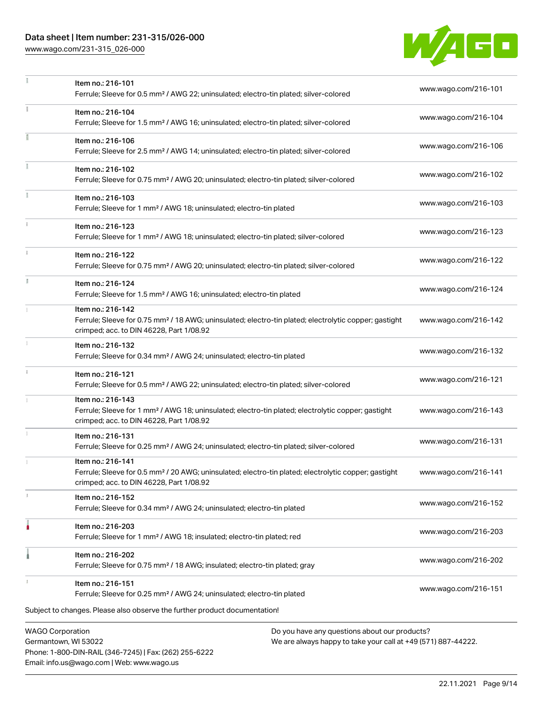# Data sheet | Item number: 231-315/026-000

Phone: 1-800-DIN-RAIL (346-7245) | Fax: (262) 255-6222

Email: info.us@wago.com | Web: www.wago.us

[www.wago.com/231-315\\_026-000](http://www.wago.com/231-315_026-000)



|                                                 | Item no.: 216-101<br>Ferrule; Sleeve for 0.5 mm <sup>2</sup> / AWG 22; uninsulated; electro-tin plated; silver-colored                                                             |                                                                                                                | www.wago.com/216-101 |
|-------------------------------------------------|------------------------------------------------------------------------------------------------------------------------------------------------------------------------------------|----------------------------------------------------------------------------------------------------------------|----------------------|
|                                                 | Item no.: 216-104<br>Ferrule; Sleeve for 1.5 mm <sup>2</sup> / AWG 16; uninsulated; electro-tin plated; silver-colored                                                             |                                                                                                                | www.wago.com/216-104 |
|                                                 | Item no.: 216-106<br>Ferrule; Sleeve for 2.5 mm <sup>2</sup> / AWG 14; uninsulated; electro-tin plated; silver-colored                                                             |                                                                                                                | www.wago.com/216-106 |
|                                                 | Item no.: 216-102<br>Ferrule; Sleeve for 0.75 mm <sup>2</sup> / AWG 20; uninsulated; electro-tin plated; silver-colored                                                            |                                                                                                                | www.wago.com/216-102 |
|                                                 | Item no.: 216-103<br>Ferrule; Sleeve for 1 mm <sup>2</sup> / AWG 18; uninsulated; electro-tin plated                                                                               |                                                                                                                | www.wago.com/216-103 |
|                                                 | Item no.: 216-123<br>Ferrule; Sleeve for 1 mm <sup>2</sup> / AWG 18; uninsulated; electro-tin plated; silver-colored                                                               |                                                                                                                | www.wago.com/216-123 |
|                                                 | Item no.: 216-122<br>Ferrule; Sleeve for 0.75 mm <sup>2</sup> / AWG 20; uninsulated; electro-tin plated; silver-colored                                                            |                                                                                                                | www.wago.com/216-122 |
| Ĭ.                                              | Item no.: 216-124<br>Ferrule; Sleeve for 1.5 mm <sup>2</sup> / AWG 16; uninsulated; electro-tin plated                                                                             |                                                                                                                | www.wago.com/216-124 |
|                                                 | Item no.: 216-142<br>Ferrule; Sleeve for 0.75 mm <sup>2</sup> / 18 AWG; uninsulated; electro-tin plated; electrolytic copper; gastight<br>crimped; acc. to DIN 46228, Part 1/08.92 |                                                                                                                | www.wago.com/216-142 |
|                                                 | Item no.: 216-132<br>Ferrule; Sleeve for 0.34 mm <sup>2</sup> / AWG 24; uninsulated; electro-tin plated                                                                            |                                                                                                                | www.wago.com/216-132 |
|                                                 | Item no.: 216-121<br>Ferrule; Sleeve for 0.5 mm <sup>2</sup> / AWG 22; uninsulated; electro-tin plated; silver-colored                                                             |                                                                                                                | www.wago.com/216-121 |
|                                                 | Item no.: 216-143<br>Ferrule; Sleeve for 1 mm <sup>2</sup> / AWG 18; uninsulated; electro-tin plated; electrolytic copper; gastight<br>crimped; acc. to DIN 46228, Part 1/08.92    |                                                                                                                | www.wago.com/216-143 |
|                                                 | Item no.: 216-131<br>Ferrule; Sleeve for 0.25 mm <sup>2</sup> / AWG 24; uninsulated; electro-tin plated; silver-colored                                                            |                                                                                                                | www.wago.com/216-131 |
|                                                 | Item no.: 216-141<br>Ferrule; Sleeve for 0.5 mm <sup>2</sup> / 20 AWG; uninsulated; electro-tin plated; electrolytic copper; gastight<br>crimped; acc. to DIN 46228, Part 1/08.92  |                                                                                                                | www.wago.com/216-141 |
|                                                 | Item no.: 216-152<br>Ferrule; Sleeve for 0.34 mm <sup>2</sup> / AWG 24; uninsulated; electro-tin plated                                                                            |                                                                                                                | www.wago.com/216-152 |
|                                                 | Item no.: 216-203<br>Ferrule; Sleeve for 1 mm <sup>2</sup> / AWG 18; insulated; electro-tin plated; red                                                                            |                                                                                                                | www.wago.com/216-203 |
|                                                 | Item no.: 216-202<br>Ferrule; Sleeve for 0.75 mm <sup>2</sup> / 18 AWG; insulated; electro-tin plated; gray                                                                        |                                                                                                                | www.wago.com/216-202 |
|                                                 | Item no.: 216-151<br>Ferrule; Sleeve for 0.25 mm <sup>2</sup> / AWG 24; uninsulated; electro-tin plated                                                                            |                                                                                                                | www.wago.com/216-151 |
|                                                 | Subject to changes. Please also observe the further product documentation!                                                                                                         |                                                                                                                |                      |
| <b>WAGO Corporation</b><br>Germantown, WI 53022 |                                                                                                                                                                                    | Do you have any questions about our products?<br>We are always happy to take your call at +49 (571) 887-44222. |                      |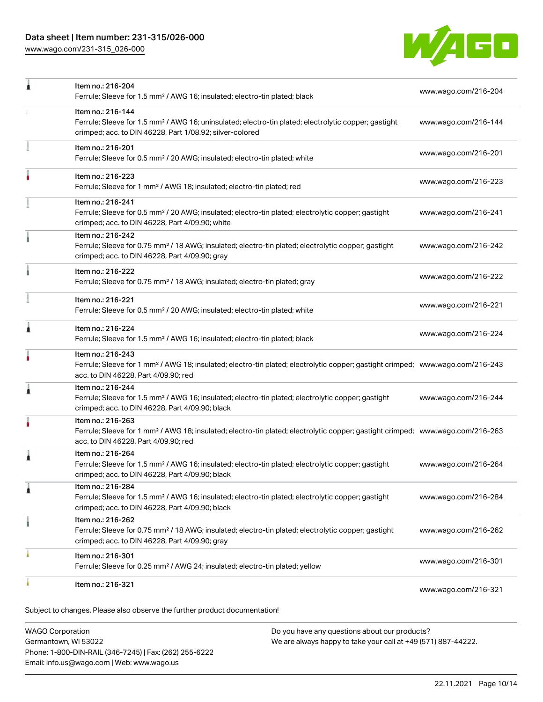# Data sheet | Item number: 231-315/026-000

[www.wago.com/231-315\\_026-000](http://www.wago.com/231-315_026-000)



| 1 | Item no.: 216-204<br>Ferrule; Sleeve for 1.5 mm <sup>2</sup> / AWG 16; insulated; electro-tin plated; black                                                                                             | www.wago.com/216-204 |
|---|---------------------------------------------------------------------------------------------------------------------------------------------------------------------------------------------------------|----------------------|
|   | Item no.: 216-144<br>Ferrule; Sleeve for 1.5 mm <sup>2</sup> / AWG 16; uninsulated; electro-tin plated; electrolytic copper; gastight<br>crimped; acc. to DIN 46228, Part 1/08.92; silver-colored       | www.wago.com/216-144 |
|   | Item no.: 216-201<br>Ferrule; Sleeve for 0.5 mm <sup>2</sup> / 20 AWG; insulated; electro-tin plated; white                                                                                             | www.wago.com/216-201 |
|   | Item no.: 216-223<br>Ferrule; Sleeve for 1 mm <sup>2</sup> / AWG 18; insulated; electro-tin plated; red                                                                                                 | www.wago.com/216-223 |
|   | Item no.: 216-241<br>Ferrule; Sleeve for 0.5 mm <sup>2</sup> / 20 AWG; insulated; electro-tin plated; electrolytic copper; gastight<br>crimped; acc. to DIN 46228, Part 4/09.90; white                  | www.wago.com/216-241 |
|   | Item no.: 216-242<br>Ferrule; Sleeve for 0.75 mm <sup>2</sup> / 18 AWG; insulated; electro-tin plated; electrolytic copper; gastight<br>crimped; acc. to DIN 46228, Part 4/09.90; gray                  | www.wago.com/216-242 |
|   | Item no.: 216-222<br>Ferrule; Sleeve for 0.75 mm <sup>2</sup> / 18 AWG; insulated; electro-tin plated; gray                                                                                             | www.wago.com/216-222 |
|   | Item no.: 216-221<br>Ferrule; Sleeve for 0.5 mm <sup>2</sup> / 20 AWG; insulated; electro-tin plated; white                                                                                             | www.wago.com/216-221 |
| Â | Item no.: 216-224<br>Ferrule; Sleeve for 1.5 mm <sup>2</sup> / AWG 16; insulated; electro-tin plated; black                                                                                             | www.wago.com/216-224 |
|   | Item no.: 216-243<br>Ferrule; Sleeve for 1 mm <sup>2</sup> / AWG 18; insulated; electro-tin plated; electrolytic copper; gastight crimped; www.wago.com/216-243<br>acc. to DIN 46228, Part 4/09.90; red |                      |
| 1 | Item no.: 216-244<br>Ferrule; Sleeve for 1.5 mm <sup>2</sup> / AWG 16; insulated; electro-tin plated; electrolytic copper; gastight<br>crimped; acc. to DIN 46228, Part 4/09.90; black                  | www.wago.com/216-244 |
|   | Item no.: 216-263<br>Ferrule; Sleeve for 1 mm <sup>2</sup> / AWG 18; insulated; electro-tin plated; electrolytic copper; gastight crimped; www.wago.com/216-263<br>acc. to DIN 46228, Part 4/09.90; red |                      |
| ٨ | Item no.: 216-264<br>Ferrule; Sleeve for 1.5 mm <sup>2</sup> / AWG 16; insulated; electro-tin plated; electrolytic copper; gastight<br>crimped; acc. to DIN 46228, Part 4/09.90; black                  | www.wago.com/216-264 |
| 1 | Item no.: 216-284<br>Ferrule; Sleeve for 1.5 mm <sup>2</sup> / AWG 16; insulated; electro-tin plated; electrolytic copper; gastight<br>crimped; acc. to DIN 46228, Part 4/09.90; black                  | www.wago.com/216-284 |
|   | Item no.: 216-262<br>Ferrule; Sleeve for 0.75 mm <sup>2</sup> / 18 AWG; insulated; electro-tin plated; electrolytic copper; gastight<br>crimped; acc. to DIN 46228, Part 4/09.90; gray                  | www.wago.com/216-262 |
|   | Item no.: 216-301<br>Ferrule; Sleeve for 0.25 mm <sup>2</sup> / AWG 24; insulated; electro-tin plated; yellow                                                                                           | www.wago.com/216-301 |
|   | Item no.: 216-321                                                                                                                                                                                       |                      |

WAGO Corporation Germantown, WI 53022 Phone: 1-800-DIN-RAIL (346-7245) | Fax: (262) 255-6222 Email: info.us@wago.com | Web: www.wago.us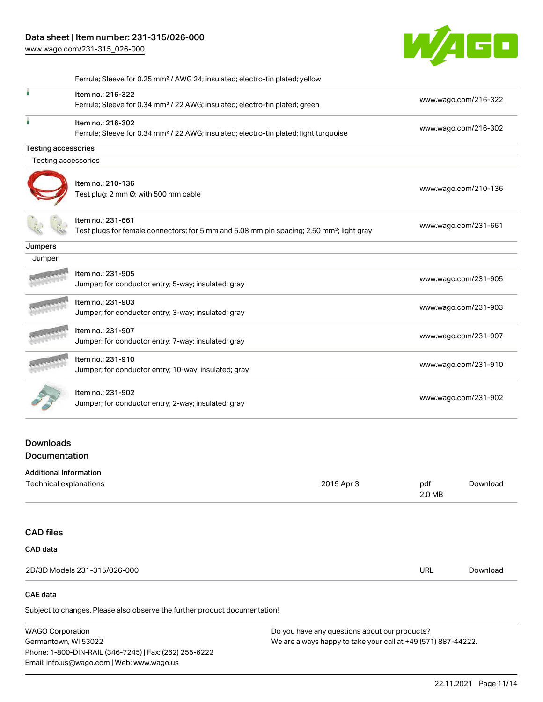[www.wago.com/231-315\\_026-000](http://www.wago.com/231-315_026-000)



|                            | Ferrule; Sleeve for 0.25 mm <sup>2</sup> / AWG 24; insulated; electro-tin plated; yellow                                   |                      |
|----------------------------|----------------------------------------------------------------------------------------------------------------------------|----------------------|
|                            | Item no.: 216-322<br>Ferrule; Sleeve for 0.34 mm <sup>2</sup> / 22 AWG; insulated; electro-tin plated; green               | www.wago.com/216-322 |
|                            | Item no.: 216-302<br>Ferrule; Sleeve for 0.34 mm <sup>2</sup> / 22 AWG; insulated; electro-tin plated; light turquoise     | www.wago.com/216-302 |
| <b>Testing accessories</b> |                                                                                                                            |                      |
| Testing accessories        |                                                                                                                            |                      |
|                            | Item no.: 210-136<br>Test plug; 2 mm Ø; with 500 mm cable                                                                  | www.wago.com/210-136 |
|                            | Item no.: 231-661<br>Test plugs for female connectors; for 5 mm and 5.08 mm pin spacing; 2,50 mm <sup>2</sup> ; light gray | www.wago.com/231-661 |
| Jumpers                    |                                                                                                                            |                      |
| Jumper                     |                                                                                                                            |                      |
|                            | Item no.: 231-905<br>Jumper; for conductor entry; 5-way; insulated; gray                                                   | www.wago.com/231-905 |
|                            | Item no.: 231-903<br>Jumper; for conductor entry; 3-way; insulated; gray                                                   | www.wago.com/231-903 |
|                            | Item no.: 231-907<br>Jumper; for conductor entry; 7-way; insulated; gray                                                   | www.wago.com/231-907 |
|                            | Item no.: 231-910<br>Jumper; for conductor entry; 10-way; insulated; gray                                                  | www.wago.com/231-910 |
|                            | Item no.: 231-902<br>Jumper; for conductor entry; 2-way; insulated; gray                                                   | www.wago.com/231-902 |

## **Downloads Documentation**

#### Additional Information

| Technical explanations                                                     | 2019 Apr 3 | pdf<br>2.0 MB | Download |
|----------------------------------------------------------------------------|------------|---------------|----------|
|                                                                            |            |               |          |
| <b>CAD files</b>                                                           |            |               |          |
| <b>CAD</b> data                                                            |            |               |          |
| 2D/3D Models 231-315/026-000                                               |            | URL           | Download |
| CAE data                                                                   |            |               |          |
| Subject to changes. Please also observe the further product documentation! |            |               |          |

WAGO Corporation

Germantown, WI 53022 Phone: 1-800-DIN-RAIL (346-7245) | Fax: (262) 255-6222 Email: info.us@wago.com | Web: www.wago.us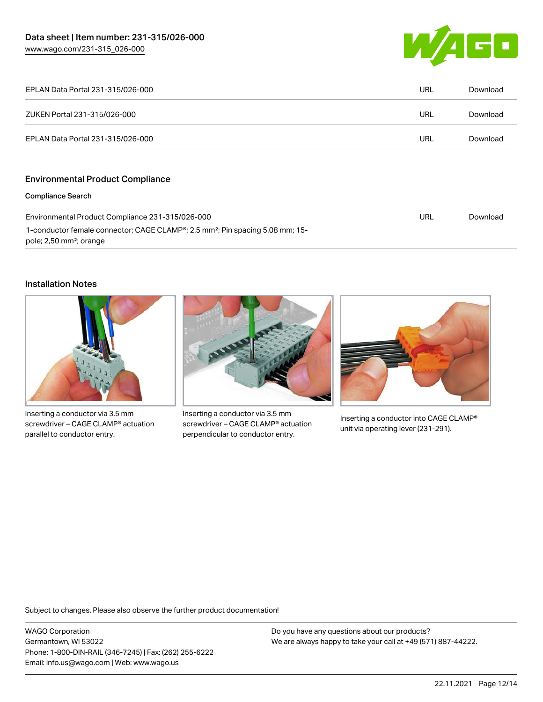

| EPLAN Data Portal 231-315/026-000                                                                                                | URL | Download |
|----------------------------------------------------------------------------------------------------------------------------------|-----|----------|
| ZUKEN Portal 231-315/026-000                                                                                                     | URL | Download |
| EPLAN Data Portal 231-315/026-000                                                                                                | URL | Download |
|                                                                                                                                  |     |          |
| <b>Environmental Product Compliance</b>                                                                                          |     |          |
| <b>Compliance Search</b>                                                                                                         |     |          |
| Environmental Product Compliance 231-315/026-000                                                                                 | URL | Download |
| 1-conductor female connector; CAGE CLAMP®; 2.5 mm <sup>2</sup> ; Pin spacing 5.08 mm; 15-<br>pole; 2,50 mm <sup>2</sup> ; orange |     |          |

#### Installation Notes



Inserting a conductor via 3.5 mm screwdriver – CAGE CLAMP® actuation parallel to conductor entry.



Inserting a conductor via 3.5 mm screwdriver – CAGE CLAMP® actuation perpendicular to conductor entry.



Inserting a conductor into CAGE CLAMP® unit via operating lever (231-291).

Subject to changes. Please also observe the further product documentation!

WAGO Corporation Germantown, WI 53022 Phone: 1-800-DIN-RAIL (346-7245) | Fax: (262) 255-6222 Email: info.us@wago.com | Web: www.wago.us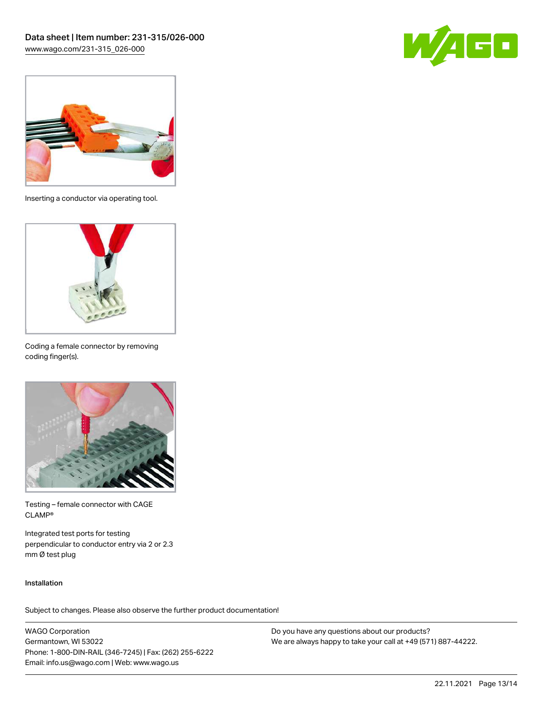



Inserting a conductor via operating tool.



Coding a female connector by removing coding finger(s).



Testing – female connector with CAGE CLAMP®

Integrated test ports for testing perpendicular to conductor entry via 2 or 2.3 mm Ø test plug

#### Installation

Subject to changes. Please also observe the further product documentation!

WAGO Corporation Germantown, WI 53022 Phone: 1-800-DIN-RAIL (346-7245) | Fax: (262) 255-6222 Email: info.us@wago.com | Web: www.wago.us